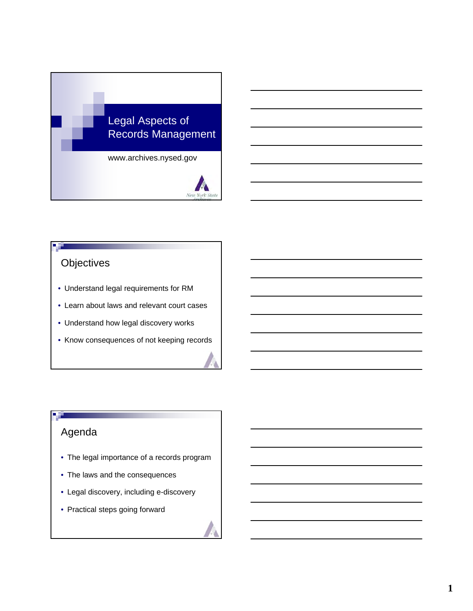

# **Objectives**

- Understand legal requirements for RM
- Learn about laws and relevant court cases •
- Understand how legal discovery works
- Know consequences of not keeping records

# Agenda

- The legal importance of a records program
- The laws and the consequences
- Legal discovery, including e-discovery •
- Practical steps going forward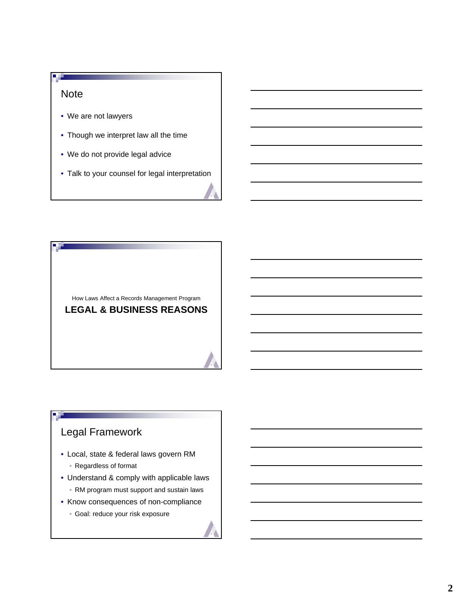#### **Note**

 $\blacksquare$ 

- We are not lawyers
- Though we interpret law all the time
- We do not provide legal advice
- Talk to your counsel for legal interpretation •

How Laws Affect a Records Management Program **LEGAL & BUSINESS REASONS**

# Legal Framework

- Local, state & federal laws govern RM
	- Regardless of format
- Understand & comply with applicable laws
	- RM program must support and sustain laws
- Know consequences of non-compliance
	- Goal: reduce your risk exposure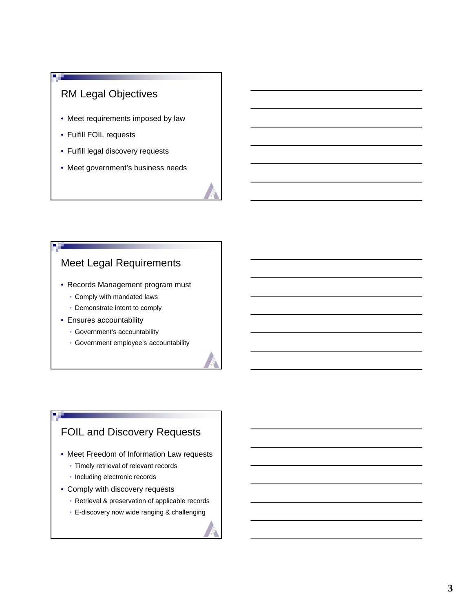# RM Legal Objectives

- Meet requirements imposed by law
- Fulfill FOIL requests
- Fulfill legal discovery requests
- Meet government's business needs

# Meet Legal Requirements

- Records Management program must
	- Comply with mandated laws
	- Demonstrate intent to comply
- Ensures accountability
	- Government's accountability
	- Government employee's accountability

# FOIL and Discovery Requests

- Meet Freedom of Information Law requests
	- Timely retrieval of relevant records
	- Including electronic records
- Comply with discovery requests
	- Retrieval & preservation of applicable records
	- E-discovery now wide ranging & challenging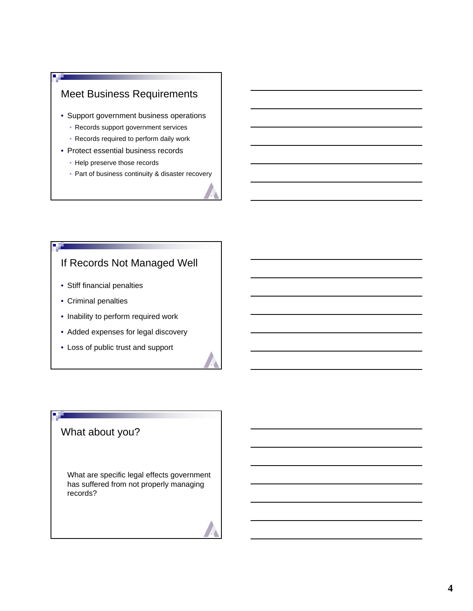# Meet Business Requirements

- Support government business operations
	- Records support government services
	- Records required to perform daily work
- Protect essential business records
	- Help preserve those records
	- Part of business continuity & disaster recovery

# If Records Not Managed Well

- Stiff financial penalties
- Criminal penalties
- Inability to perform required work
- Added expenses for legal discovery
- Loss of public trust and support

# What about you?

What are specific legal effects government has suffered from not properly managing records?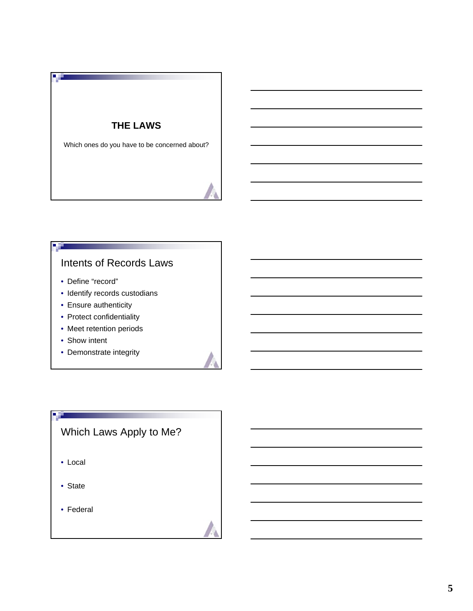## **THE LAWS**

Which ones do you have to be concerned about?

# Intents of Records Laws

• Define "record"

**B** E

ч.

- Identify records custodians
- Ensure authenticity
- Protect confidentiality
- Meet retention periods
- Show intent
- Demonstrate integrity

# Which Laws Apply to Me?

• Local

n an

- State
- Federal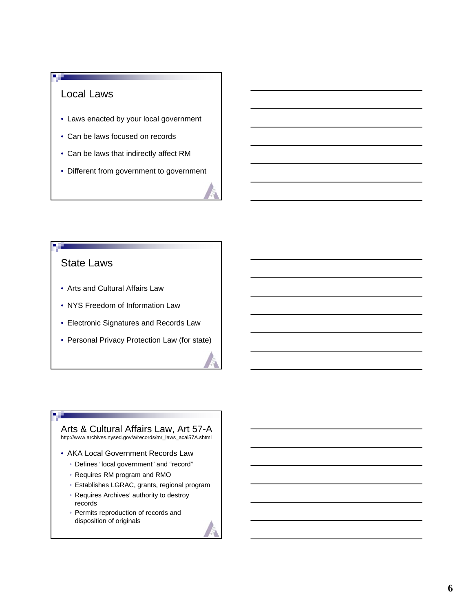# Local Laws

- Laws enacted by your local government
- Can be laws focused on records •
- Can be laws that indirectly affect RM
- Different from government to government

## State Laws

- Arts and Cultural Affairs Law
- NYS Freedom of Information Law
- Electronic Signatures and Records Law •
- Personal Privacy Protection Law (for state)

## Arts & Cultural Affairs Law, Art 57-A

http://www.archives.nysed.gov/a/records/mr\_laws\_acal57A.shtml

- AKA Local Government Records Law
	- Defines "local government" and "record"
	- Requires RM program and RMO
	- Establishes LGRAC, grants, regional program •
	- Requires Archives' authority to destroy records
	- Permits reproduction of records and disposition of originals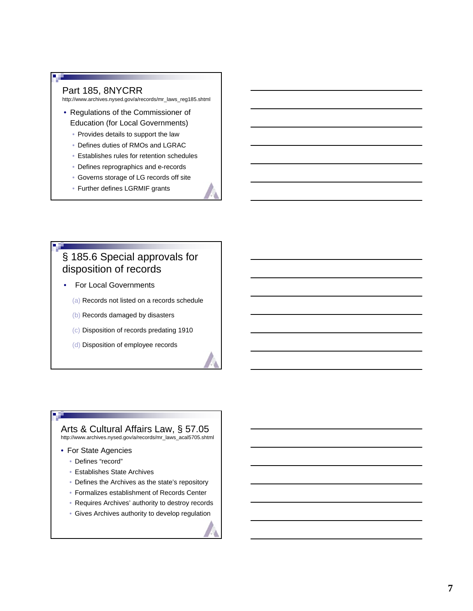#### Part 185, 8NYCRR

http://www.archives.nysed.gov/a/records/mr\_laws\_reg185.shtml

- Regulations of the Commissioner of Education (for Local Governments)
	- Provides details to support the law
	- Defines duties of RMOs and LGRAC
	- Establishes rules for retention schedules •
	- Defines reprographics and e-records
	- Governs storage of LG records off site •
	- Further defines LGRMIF grants

# § 185.6 Special approvals for disposition of records

- For Local Governments
	- (a) Records not listed on a records schedule
	- (b) Records damaged by disasters
	- (c) Disposition of records predating 1910
	- (d) Disposition of employee records

## Arts & Cultural Affairs Law, § 57.05

http://www.archives.nysed.gov/a/records/mr\_laws\_acal5705.shtml

- For State Agencies
	- Defines "record"
	- Establishes State Archives •
	- Defines the Archives as the state's repository
	- Formalizes establishment of Records Center •
	- Requires Archives' authority to destroy records
	- Gives Archives authority to develop regulation

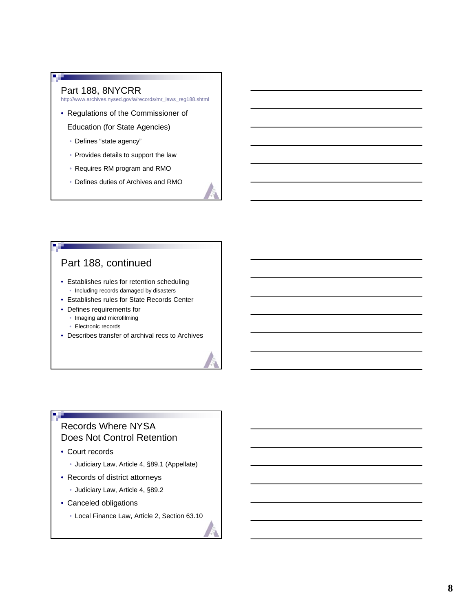#### Part 188, 8NYCRR

 $\blacksquare$ 

http://www.archives.nysed.gov/a/records/mr\_laws\_reg188.shtml

- Regulations of the Commissioner of Education (for State Agencies)
	- Defines "state agency"
	- Provides details to support the law
	- Requires RM program and RMO
	- Defines duties of Archives and RMO

# Part 188, continued

- Establishes rules for retention scheduling • Including records damaged by disasters
- Establishes rules for State Records Center
- Defines requirements for
	- Imaging and microfilming
	- Electronic records
- Describes transfer of archival recs to Archives

# Records Where NYSA Does Not Control Retention

• Court records

**B** H

- Judiciary Law, Article 4, §89.1 (Appellate)
- Records of district attorneys
	- Judiciary Law, Article 4, §89.2
- Canceled obligations
	- Local Finance Law, Article 2, Section 63.10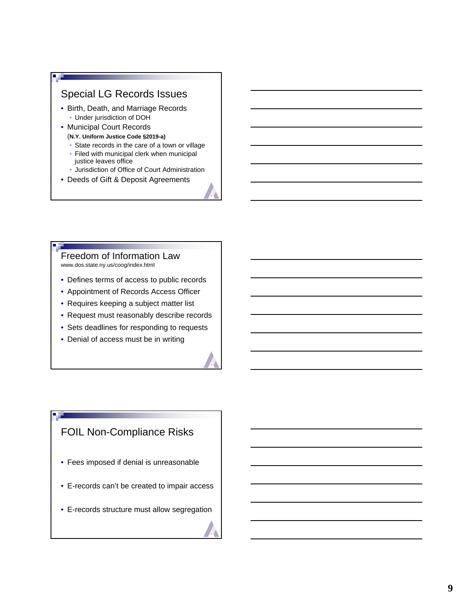## Special LG Records Issues

- Birth, Death, and Marriage Records • Under jurisdiction of DOH
- Municipal Court Records
	- (**N.Y. Uniform Justice Code §2019-a)**
	- State records in the care of a town or village
	- Filed with municipal clerk when municipal justice leaves office
	- Jurisdiction of Office of Court Administration •
- Deeds of Gift & Deposit Agreements

#### Freedom of Information Law www.dos.state.ny.us/coog/index.html

- Defines terms of access to public records
- Appointment of Records Access Officer
- Requires keeping a subject matter list
- Request must reasonably describe records
- Sets deadlines for responding to requests
- Denial of access must be in writing

# FOIL Non-Compliance Risks

- Fees imposed if denial is unreasonable
- E-records can't be created to impair access •
- E-records structure must allow segregation •

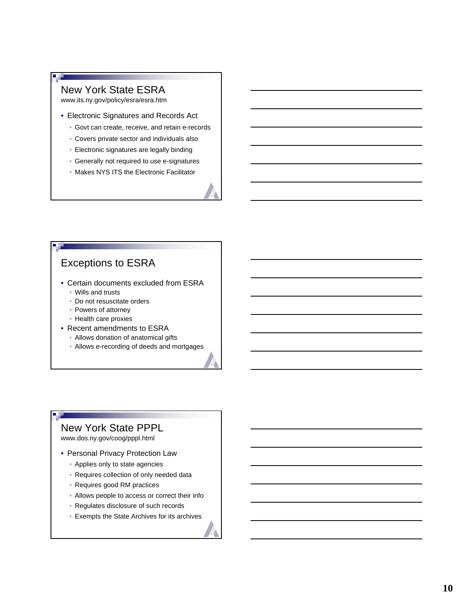#### New York State ESRA

п

www.its.ny.gov/policy/esra/esra.htm

- Electronic Signatures and Records Act
	- Govt can create, receive, and retain e-records
	- Covers private sector and individuals also •
	- Electronic signatures are legally binding
	- Generally not required to use e-signatures •
	- Makes NYS ITS the Electronic Facilitator

## Exceptions to ESRA

- Certain documents excluded from ESRA
	- Wills and trusts
	- Do not resuscitate orders
	- Powers of attorney
	- Health care proxies
- Recent amendments to ESRA
	- Allows donation of anatomical gifts
	- Allows e-recording of deeds and mortgages

#### New York State PPPL

www.dos.ny.gov/coog/pppl.html

**DOM:** 

- Personal Privacy Protection Law
	- Applies only to state agencies
	- Requires collection of only needed data
	- Requires good RM practices
	- Allows people to access or correct their info
	- Regulates disclosure of such records
	- Exempts the State Archives for its archives •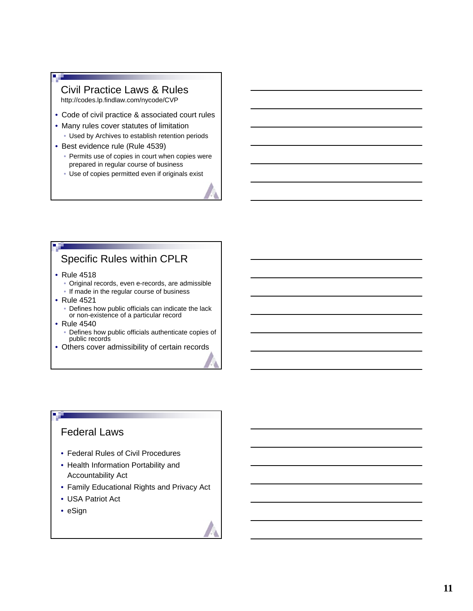#### Civil Practice Laws & Rules http://codes.lp.findlaw.com/nycode/CVP

- Code of civil practice & associated court rules
- Many rules cover statutes of limitation
	- Used by Archives to establish retention periods
- Best evidence rule (Rule 4539)
	- Permits use of copies in court when copies were prepared in regular course of business
	- Use of copies permitted even if originals exist

# Specific Rules within CPLR

- Rule 4518
	- Original records, even e-records, are admissible
	- If made in the regular course of business
- Rule 4521
	- Defines how public officials can indicate the lack or non-existence of a particular record
- Rule 4540
	- Defines how public officials authenticate copies of public records
- Others cover admissibility of certain records

# Federal Laws

- Federal Rules of Civil Procedures
- Health Information Portability and Accountability Act
- Family Educational Rights and Privacy Act
- USA Patriot Act •
- eSign

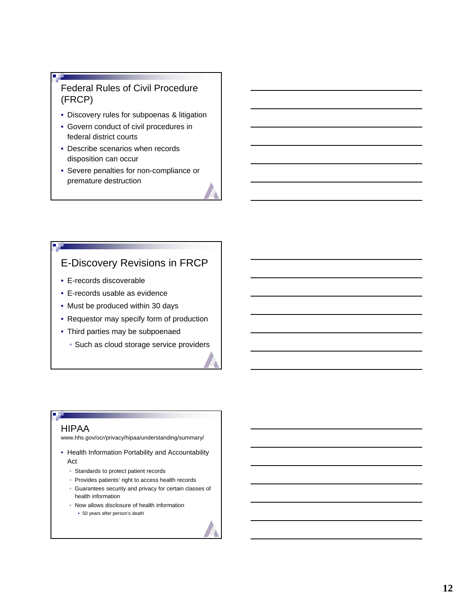## Federal Rules of Civil Procedure (FRCP)

- Discovery rules for subpoenas & litigation
- Govern conduct of civil procedures in federal district courts
- Describe scenarios when records disposition can occur
- Severe penalties for non-compliance or premature destruction

# E-Discovery Revisions in FRCP

- E-records discoverable
- E-records usable as evidence •
- Must be produced within 30 days
- Requestor may specify form of production
- Third parties may be subpoenaed
	- Such as cloud storage service providers

#### HIPAA

www.hhs.gov/ocr/privacy/hipaa/understanding/summary/

- Health Information Portability and Accountability Act
	- Standards to protect patient records
	- Provides patients' right to access health records
	- Guarantees security and privacy for certain classes of health information
	- Now allows disclosure of health information
		- 50 years after person's death

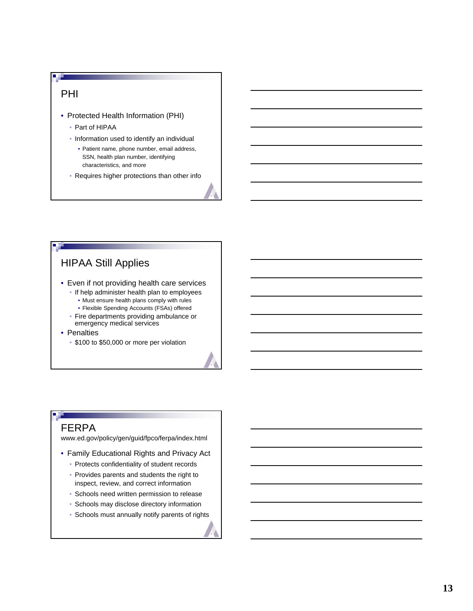#### PHI

- Protected Health Information (PHI)
	- Part of HIPAA
	- Information used to identify an individual
		- Patient name, phone number, email address, SSN, health plan number, identifying characteristics, and more
	- Requires higher protections than other info

# HIPAA Still Applies

- Even if not providing health care services • If help administer health plan to employees
	- Must ensure health plans comply with rules
	- Flexible Spending Accounts (FSAs) offered
	- Fire departments providing ambulance or emergency medical services
- Penalties
	- \$100 to \$50,000 or more per violation

# FERPA

**DOM:** 

www.ed.gov/policy/gen/guid/fpco/ferpa/index.html

- Family Educational Rights and Privacy Act
	- Protects confidentiality of student records
	- Provides parents and students the right to inspect, review, and correct information
	- Schools need written permission to release
	- Schools may disclose directory information
	- Schools must annually notify parents of rights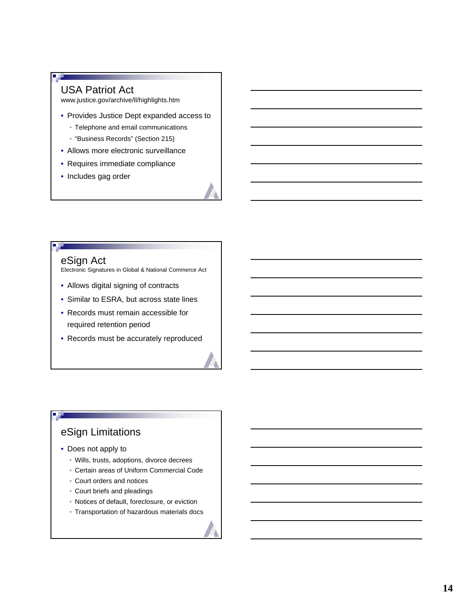#### USA Patriot Act

www.justice.gov/archive/ll/highlights.htm

- Provides Justice Dept expanded access to
	- Telephone and email communications
	- "Business Records" (Section 215)
- Allows more electronic surveillance
- Requires immediate compliance
- Includes gag order



Electronic Signatures in Global & National Commerce Act

- Allows digital signing of contracts
- Similar to ESRA, but across state lines
- Records must remain accessible for required retention period
- Records must be accurately reproduced

# eSign Limitations

- Does not apply to
	- Wills, trusts, adoptions, divorce decrees
	- Certain areas of Uniform Commercial Code •
	- Court orders and notices •
	- Court briefs and pleadings
	- Notices of default, foreclosure, or eviction
	- Transportation of hazardous materials docs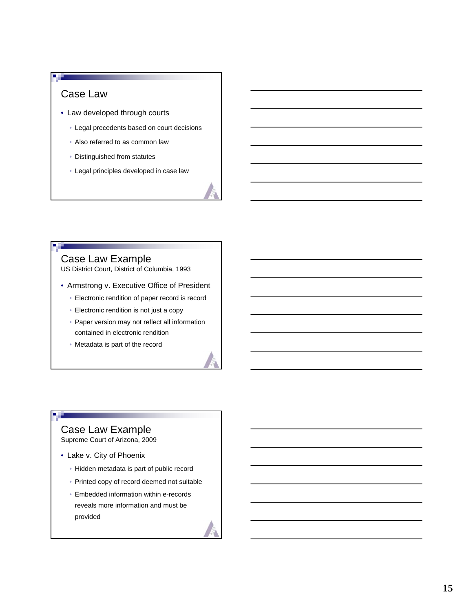# Case Law

- Law developed through courts
	- Legal precedents based on court decisions
	- Also referred to as common law
	- Distinguished from statutes
	- Legal principles developed in case law •

# Case Law Example

US District Court, District of Columbia, 1993

- Armstrong v. Executive Office of President
	- Electronic rendition of paper record is record
	- Electronic rendition is not just a copy
	- Paper version may not reflect all information contained in electronic rendition
	- Metadata is part of the record

# Case Law Example

Supreme Court of Arizona, 2009

- Lake v. City of Phoenix
	- Hidden metadata is part of public record
	- Printed copy of record deemed not suitable
	- Embedded information within e-records •reveals more information and must be provided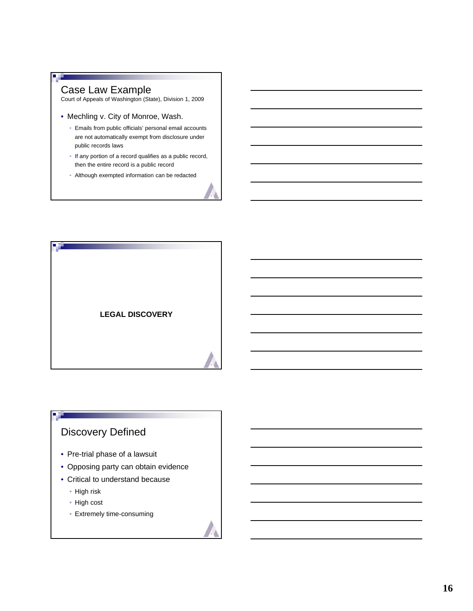#### Case Law Example

П

Court of Appeals of Washington (State), Division 1, 2009

- Mechling v. City of Monroe, Wash.
	- Emails from public officials' personal email accounts are not automatically exempt from disclosure under public records laws
	- If any portion of a record qualifies as a public record, then the entire record is a public record
	- Although exempted information can be redacted •



# Discovery Defined

- Pre-trial phase of a lawsuit
- Opposing party can obtain evidence
- Critical to understand because
	- High risk

**DE LA** 

- High cost
- Extremely time-consuming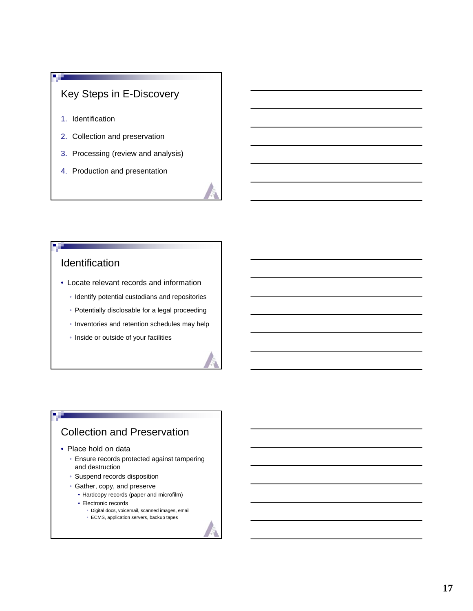# Key Steps in E-Discovery

1. Identification

п

- 2. Collection and preservation
- 3. Processing (review and analysis)
- 4. Production and presentation

# Identification

- Locate relevant records and information
	- Identify potential custodians and repositories
	- Potentially disclosable for a legal proceeding
	- Inventories and retention schedules may help
	- Inside or outside of your facilities

# Collection and Preservation

• Place hold on data

a st

- Ensure records protected against tampering and destruction
- Suspend records disposition
- Gather, copy, and preserve
- Hardcopy records (paper and microfilm)
- Electronic records
	- Digital docs, voicemail, scanned images, email
	- ECMS, application servers, backup tapes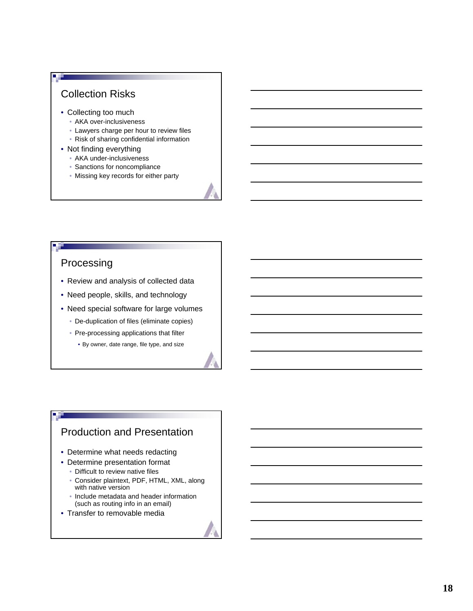# Collection Risks

 $\blacksquare$ 

- Collecting too much
	- AKA over-inclusiveness
	- Lawyers charge per hour to review files
	- Risk of sharing confidential information
- Not finding everything
	- AKA under-inclusiveness
	- Sanctions for noncompliance
	- Missing key records for either party

## Processing

- Review and analysis of collected data
- Need people, skills, and technology
- Need special software for large volumes
	- De-duplication of files (eliminate copies)
	- Pre-processing applications that filter
		- By owner, date range, file type, and size

# Production and Presentation

- Determine what needs redacting
- Determine presentation format
	- Difficult to review native files
	- Consider plaintext, PDF, HTML, XML, along with native version
	- Include metadata and header information (such as routing info in an email)
- Transfer to removable media

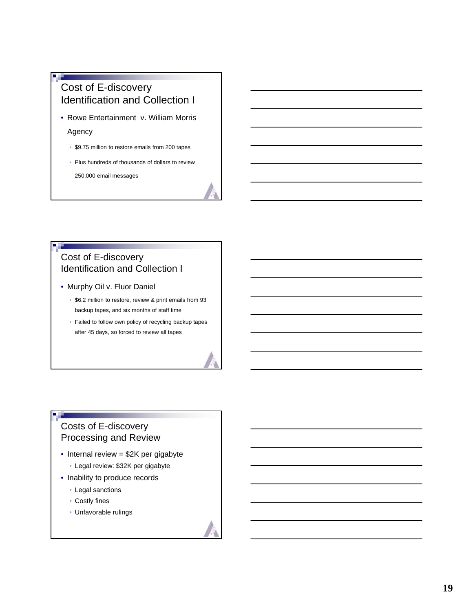# Cost of E-discovery Identification and Collection I

• Rowe Entertainment v. William Morris

#### Agency

- \$9.75 million to restore emails from 200 tapes
- Plus hundreds of thousands of dollars to review 250,000 email messages

## Cost of E-discovery Identification and Collection I

- Murphy Oil v. Fluor Daniel
	- \$6.2 million to restore, review & print emails from 93 backup tapes, and six months of staff time
	- Failed to follow own policy of recycling backup tapes after 45 days, so forced to review all tapes

# Costs of E-discovery Processing and Review

- Internal review = \$2K per gigabyte
	- Legal review: \$32K per gigabyte
- Inability to produce records
	- Legal sanctions
	- Costly fines •

**B** H

Unfavorable rulings •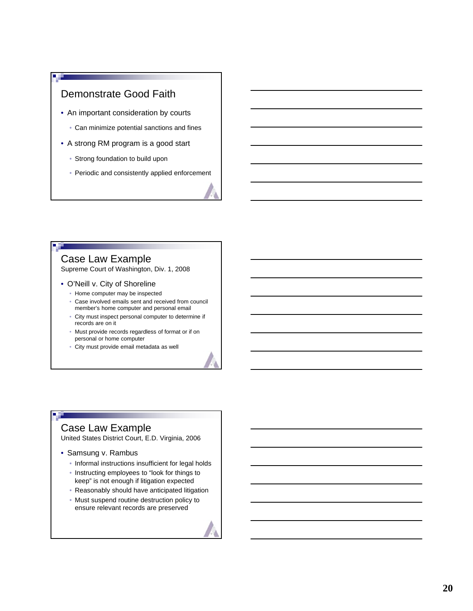# Demonstrate Good Faith

- An important consideration by courts
	- Can minimize potential sanctions and fines
- A strong RM program is a good start
	- Strong foundation to build upon
	- Periodic and consistently applied enforcement

## Case Law Example

Supreme Court of Washington, Div. 1, 2008

- O'Neill v. City of Shoreline
	- Home computer may be inspected
	- Case involved emails sent and received from council member's home computer and personal email
	- City must inspect personal computer to determine if records are on it
	- Must provide records regardless of format or if on personal or home computer
	- City must provide email metadata as well •

# Case Law Example

United States District Court, E.D. Virginia, 2006

- Samsung v. Rambus
	- Informal instructions insufficient for legal holds
	- Instructing employees to "look for things to keep" is not enough if litigation expected
	- Reasonably should have anticipated litigation
	- Must suspend routine destruction policy to ensure relevant records are preserved

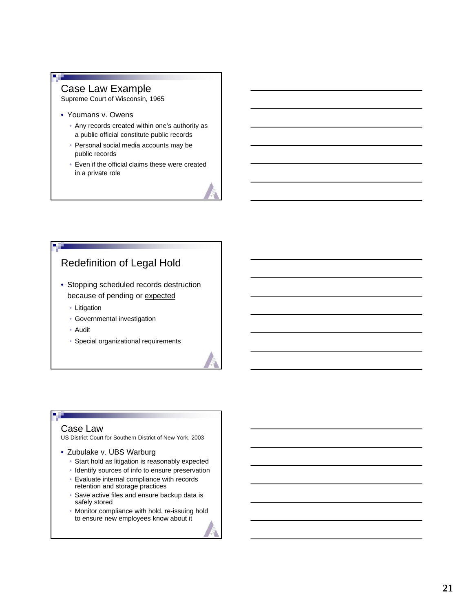#### Case Law Example

Supreme Court of Wisconsin, 1965

- Youmans v. Owens
	- Any records created within one's authority as a public official constitute public records
	- Personal social media accounts may be public records
	- Even if the official claims these were created in a private role

# Redefinition of Legal Hold

- Stopping scheduled records destruction because of pending or expected
	- Litigation
	- Governmental investigation •
	- Audit •
	- Special organizational requirements

#### Case Law

US District Court for Southern District of New York, 2003

- Zubulake v. UBS Warburg
	- Start hold as litigation is reasonably expected
	- Identify sources of info to ensure preservation
	- Evaluate internal compliance with records retention and storage practices
	- Save active files and ensure backup data is safely stored
	- Monitor compliance with hold, re-issuing hold to ensure new employees know about it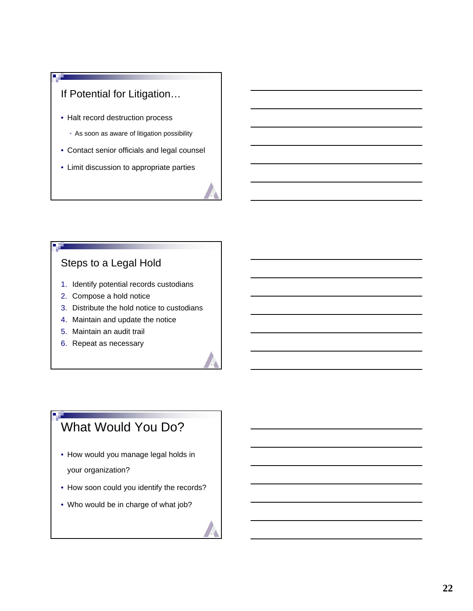# If Potential for Litigation…

- Halt record destruction process
	- As soon as aware of litigation possibility
- Contact senior officials and legal counsel
- Limit discussion to appropriate parties

# Steps to a Legal Hold

- 1. Identify potential records custodians
- 2. Compose a hold notice
- 3. Distribute the hold notice to custodians
- 4. Maintain and update the notice
- 5. Maintain an audit trail
- 6. Repeat as necessary

# What Would You Do?

- How would you manage legal holds in your organization?
- How soon could you identify the records?
- Who would be in charge of what job?

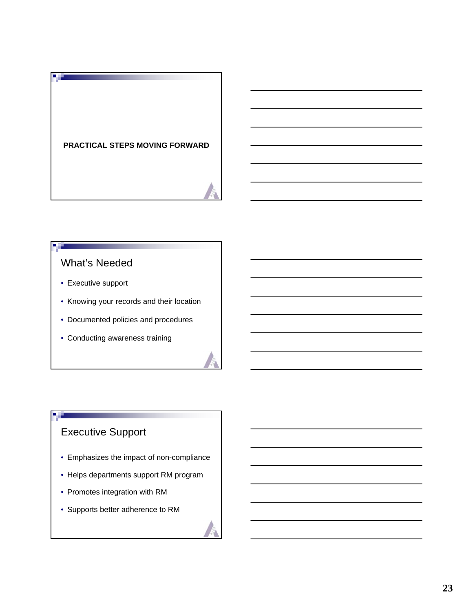# **PRACTICAL STEPS MOVING FORWARD**

# What's Needed

- Executive support
- Knowing your records and their location
- Documented policies and procedures
- Conducting awareness training

# Executive Support

- Emphasizes the impact of non-compliance
- Helps departments support RM program
- Promotes integration with RM
- Supports better adherence to RM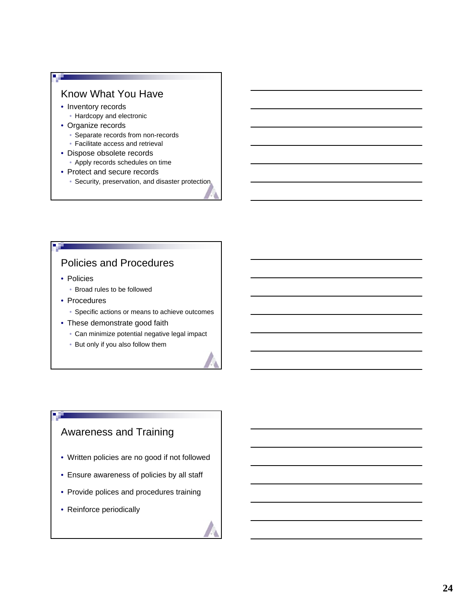## Know What You Have

• Inventory records

п

- Hardcopy and electronic
- Organize records
	- Separate records from non-records
	- Facilitate access and retrieval
- Dispose obsolete records
	- Apply records schedules on time
- Protect and secure records
	- Security, preservation, and disaster protection

# Policies and Procedures

- Policies
	- Broad rules to be followed
- Procedures
	- Specific actions or means to achieve outcomes
- These demonstrate good faith
	- Can minimize potential negative legal impact
	- But only if you also follow them

# Awareness and Training

- Written policies are no good if not followed
- Ensure awareness of policies by all staff •
- Provide polices and procedures training
- Reinforce periodically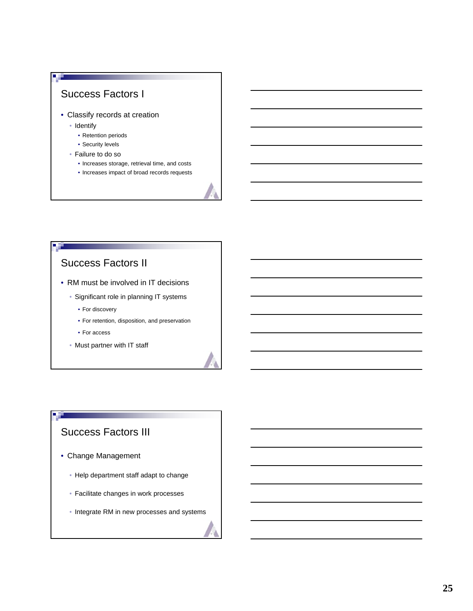

- Classify records at creation
	- Identify

п

- Retention periods
- Security levels
- Failure to do so
	- Increases storage, retrieval time, and costs
	- Increases impact of broad records requests

## Success Factors II

- RM must be involved in IT decisions
	- Significant role in planning IT systems
		- For discovery
		- For retention, disposition, and preservation
		- For access
	- Must partner with IT staff

# Success Factors III

- Change Management
	- Help department staff adapt to change
	- Facilitate changes in work processes
	- Integrate RM in new processes and systems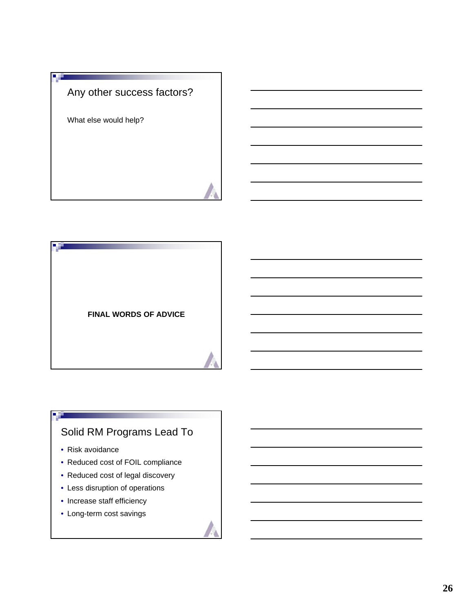# Any other success factors?

What else would help?

**A** H



# Solid RM Programs Lead To

• Risk avoidance

**B** H

- Reduced cost of FOIL compliance
- Reduced cost of legal discovery
- Less disruption of operations
- Increase staff efficiency
- Long-term cost savings